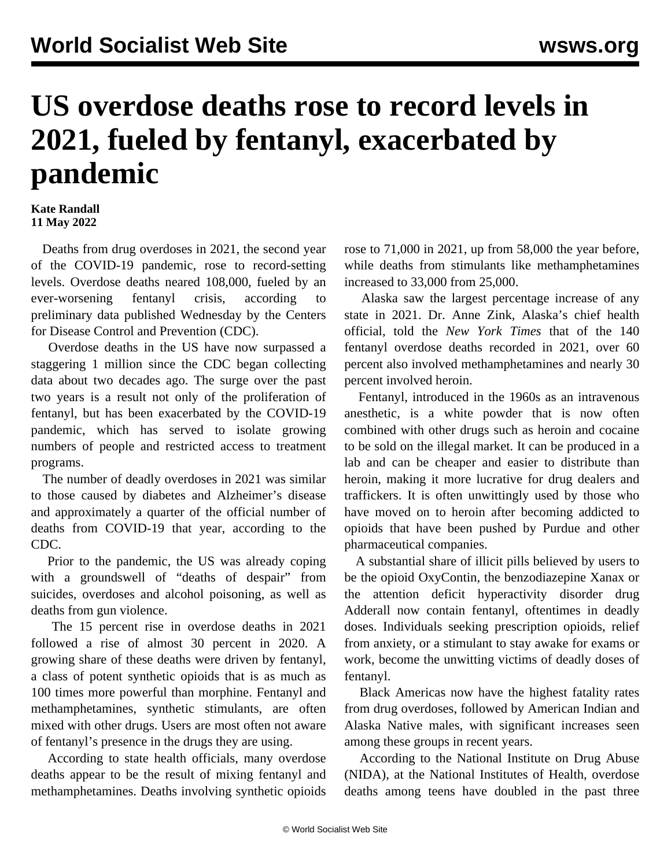## **US overdose deaths rose to record levels in 2021, fueled by fentanyl, exacerbated by pandemic**

## **Kate Randall 11 May 2022**

 Deaths from drug overdoses in 2021, the second year of the COVID-19 pandemic, rose to record-setting levels. Overdose deaths neared 108,000, fueled by an ever-worsening fentanyl crisis, according to preliminary data published Wednesday by the Centers for Disease Control and Prevention (CDC).

 Overdose deaths in the US have now surpassed a staggering 1 million since the CDC began collecting data about two decades ago. The surge over the past two years is a result not only of the proliferation of fentanyl, but has been exacerbated by the COVID-19 pandemic, which has served to isolate growing numbers of people and restricted access to treatment programs.

 The number of deadly overdoses in 2021 was similar to those caused by diabetes and Alzheimer's disease and approximately a quarter of the official number of deaths from COVID-19 that year, according to the CDC.

 Prior to the pandemic, the US was already coping with a groundswell of "deaths of despair" from suicides, overdoses and alcohol poisoning, as well as deaths from gun violence.

 The 15 percent rise in overdose deaths in 2021 followed a rise of almost 30 percent in 2020. A growing share of these deaths were driven by fentanyl, a class of potent synthetic opioids that is as much as 100 times more powerful than morphine. Fentanyl and methamphetamines, synthetic stimulants, are often mixed with other drugs. Users are most often not aware of fentanyl's presence in the drugs they are using.

 According to state health officials, many overdose deaths appear to be the result of mixing fentanyl and methamphetamines. Deaths involving synthetic opioids

rose to 71,000 in 2021, up from 58,000 the year before, while deaths from stimulants like methamphetamines increased to 33,000 from 25,000.

 Alaska saw the largest percentage increase of any state in 2021. Dr. Anne Zink, Alaska's chief health official, told the *New York Times* that of the 140 fentanyl overdose deaths recorded in 2021, over 60 percent also involved methamphetamines and nearly 30 percent involved heroin.

 Fentanyl, introduced in the 1960s as an intravenous anesthetic, is a white powder that is now often combined with other drugs such as heroin and cocaine to be sold on the illegal market. It can be produced in a lab and can be cheaper and easier to distribute than heroin, making it more lucrative for drug dealers and traffickers. It is often unwittingly used by those who have moved on to heroin after becoming addicted to opioids that have been pushed by Purdue and other pharmaceutical companies.

 A substantial share of illicit pills believed by users to be the opioid OxyContin, the benzodiazepine Xanax or the attention deficit hyperactivity disorder drug Adderall now contain fentanyl, oftentimes in deadly doses. Individuals seeking prescription opioids, relief from anxiety, or a stimulant to stay awake for exams or work, become the unwitting victims of deadly doses of fentanyl.

 Black Americas now have the highest fatality rates from drug overdoses, followed by American Indian and Alaska Native males, with significant increases seen among these groups in recent years.

 According to the National Institute on Drug Abuse (NIDA), at the National Institutes of Health, overdose deaths among teens have doubled in the past three